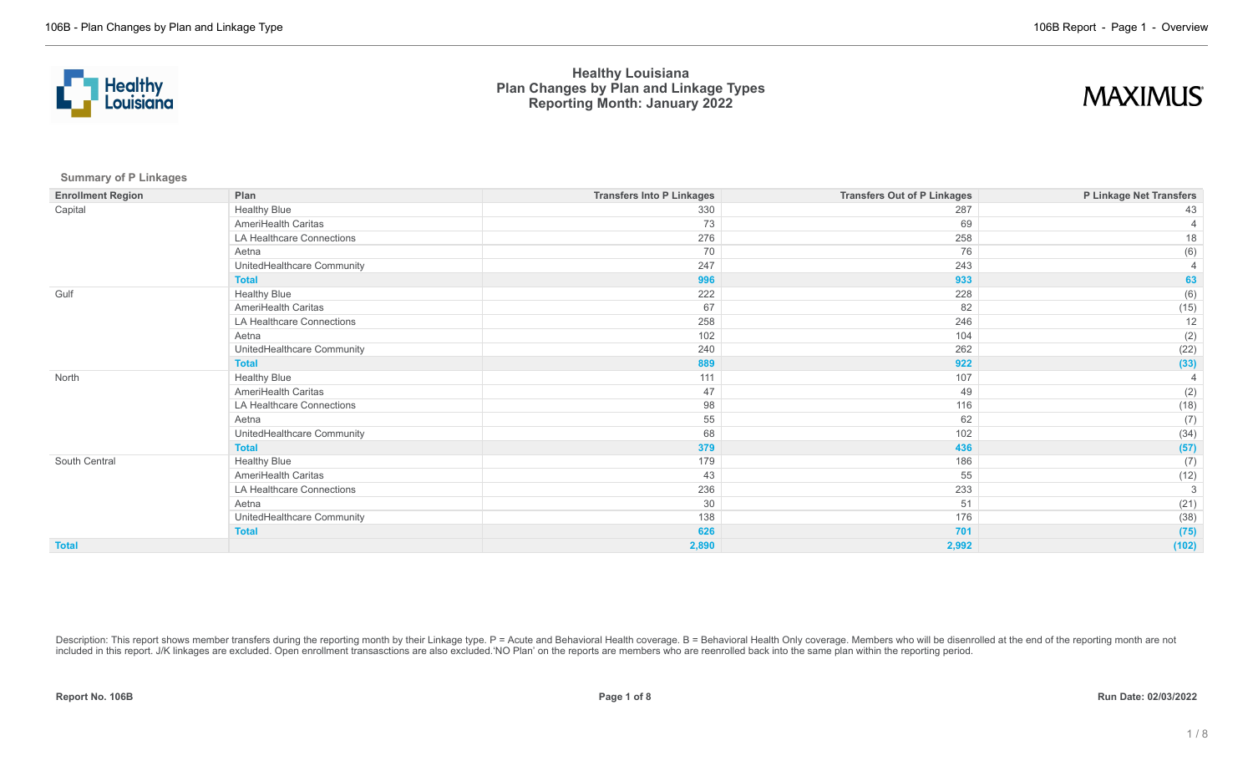



**Summary of P Linkages**

| <b>Enrollment Region</b> | Plan                       | <b>Transfers Into P Linkages</b> | <b>Transfers Out of P Linkages</b> | P Linkage Net Transfers |
|--------------------------|----------------------------|----------------------------------|------------------------------------|-------------------------|
| Capital                  | <b>Healthy Blue</b>        | 330                              | 287                                | 43                      |
|                          | AmeriHealth Caritas        | 73                               | 69                                 |                         |
|                          | LA Healthcare Connections  | 276                              | 258                                | 18                      |
|                          | Aetna                      | 70                               | 76                                 | (6)                     |
|                          | UnitedHealthcare Community | 247                              | 243                                |                         |
|                          | <b>Total</b>               | 996                              | 933                                | 63                      |
| Gulf                     | <b>Healthy Blue</b>        | 222                              | 228                                | (6)                     |
|                          | AmeriHealth Caritas        | 67                               | 82                                 | (15)                    |
|                          | LA Healthcare Connections  | 258                              | 246                                | 12                      |
|                          | Aetna                      | 102                              | 104                                | (2)                     |
|                          | UnitedHealthcare Community | 240                              | 262                                | (22)                    |
|                          | <b>Total</b>               | 889                              | 922                                | (33)                    |
| North                    | <b>Healthy Blue</b>        | 111                              | 107                                |                         |
|                          | AmeriHealth Caritas        | 47                               | 49                                 | (2)                     |
|                          | LA Healthcare Connections  | 98                               | 116                                | (18)                    |
|                          | Aetna                      | 55                               | 62                                 | (7)                     |
|                          | UnitedHealthcare Community | 68                               | 102                                | (34)                    |
|                          | <b>Total</b>               | 379                              | 436                                | (57)                    |
| South Central            | <b>Healthy Blue</b>        | 179                              | 186                                | (7)                     |
|                          | AmeriHealth Caritas        | 43                               | 55                                 | (12)                    |
|                          | LA Healthcare Connections  | 236                              | 233                                | 3                       |
|                          | Aetna                      | 30                               | 51                                 | (21)                    |
|                          | UnitedHealthcare Community | 138                              | 176                                | (38)                    |
|                          | <b>Total</b>               | 626                              | 701                                | (75)                    |
| <b>Total</b>             |                            | 2,890                            | 2,992                              | (102)                   |

Description: This report shows member transfers during the reporting month by their Linkage type. P = Acute and Behavioral Health coverage. B = Behavioral Health Only coverage. Members who will be disenrolled at the end of included in this report. J/K linkages are excluded. Open enrollment transasctions are also excluded.'NO Plan' on the reports are members who are reenrolled back into the same plan within the reporting period.

**Report No. 106B Page 1 of 8 Run Date: 02/03/2022**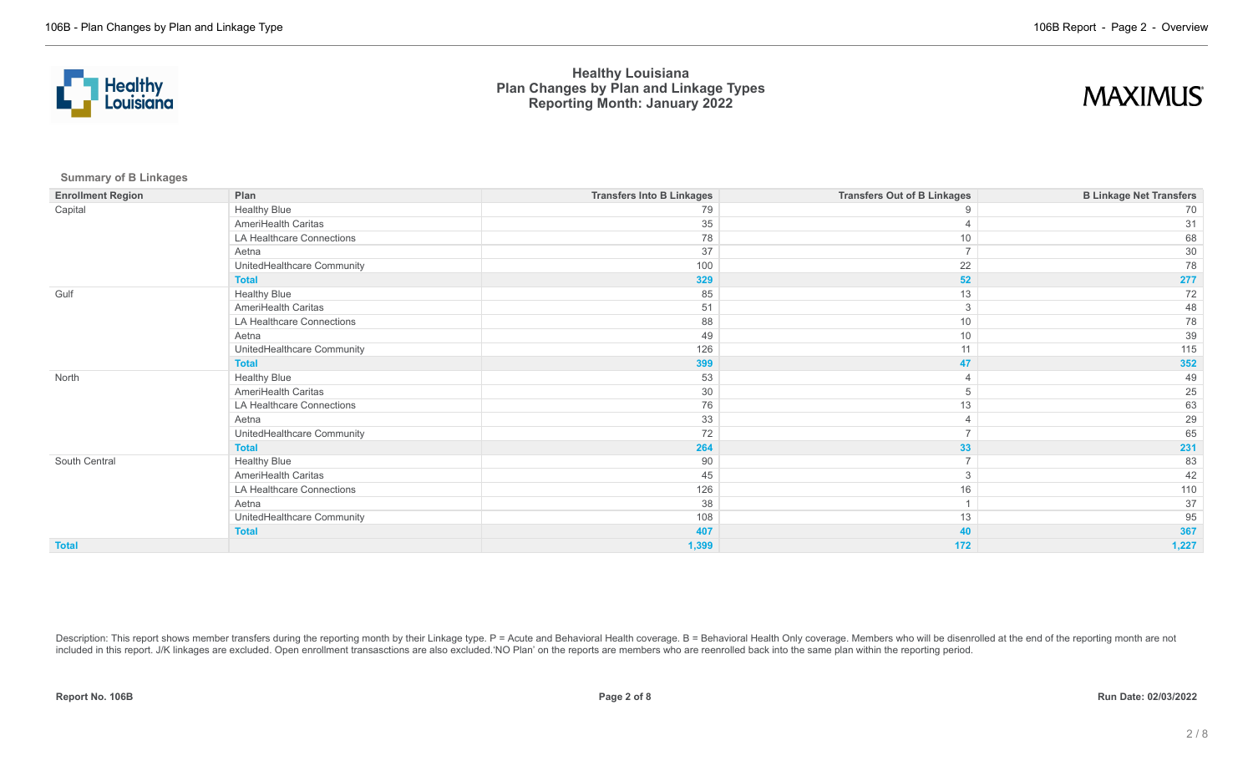



**Summary of B Linkages**

| <b>Enrollment Region</b> | Plan                       | <b>Transfers Into B Linkages</b> | <b>Transfers Out of B Linkages</b> | <b>B Linkage Net Transfers</b> |
|--------------------------|----------------------------|----------------------------------|------------------------------------|--------------------------------|
| Capital                  | <b>Healthy Blue</b>        | 79                               | 9                                  | 70                             |
|                          | AmeriHealth Caritas        | 35                               |                                    | 31                             |
|                          | LA Healthcare Connections  | 78                               | 10                                 | 68                             |
|                          | Aetna                      | 37                               | $\overline{7}$                     | 30                             |
|                          | UnitedHealthcare Community | 100                              | 22                                 | 78                             |
|                          | <b>Total</b>               | 329                              | 52                                 | 277                            |
| Gulf                     | <b>Healthy Blue</b>        | 85                               | $13$                               | 72                             |
|                          | AmeriHealth Caritas        | 51                               | 3                                  | 48                             |
|                          | LA Healthcare Connections  | 88                               | 10                                 | 78                             |
|                          | Aetna                      | 49                               | 10                                 | 39                             |
|                          | UnitedHealthcare Community | 126                              | 11                                 | 115                            |
|                          | <b>Total</b>               | 399                              | 47                                 | 352                            |
| North                    | <b>Healthy Blue</b>        | 53                               |                                    | 49                             |
|                          | AmeriHealth Caritas        | 30                               | 5                                  | 25                             |
|                          | LA Healthcare Connections  | 76                               | 13                                 | 63                             |
|                          | Aetna                      | 33                               |                                    | 29                             |
|                          | UnitedHealthcare Community | 72                               |                                    | 65                             |
|                          | <b>Total</b>               | 264                              | 33                                 | 231                            |
| South Central            | <b>Healthy Blue</b>        | 90                               | $\overline{7}$                     | 83                             |
|                          | AmeriHealth Caritas        | 45                               | 3                                  | 42                             |
|                          | LA Healthcare Connections  | 126                              | 16                                 | 110                            |
|                          | Aetna                      | 38                               |                                    | 37                             |
|                          | UnitedHealthcare Community | 108                              | 13                                 | 95                             |
|                          | <b>Total</b>               | 407                              | 40                                 | 367                            |
| <b>Total</b>             |                            | 1,399                            | 172                                | 1,227                          |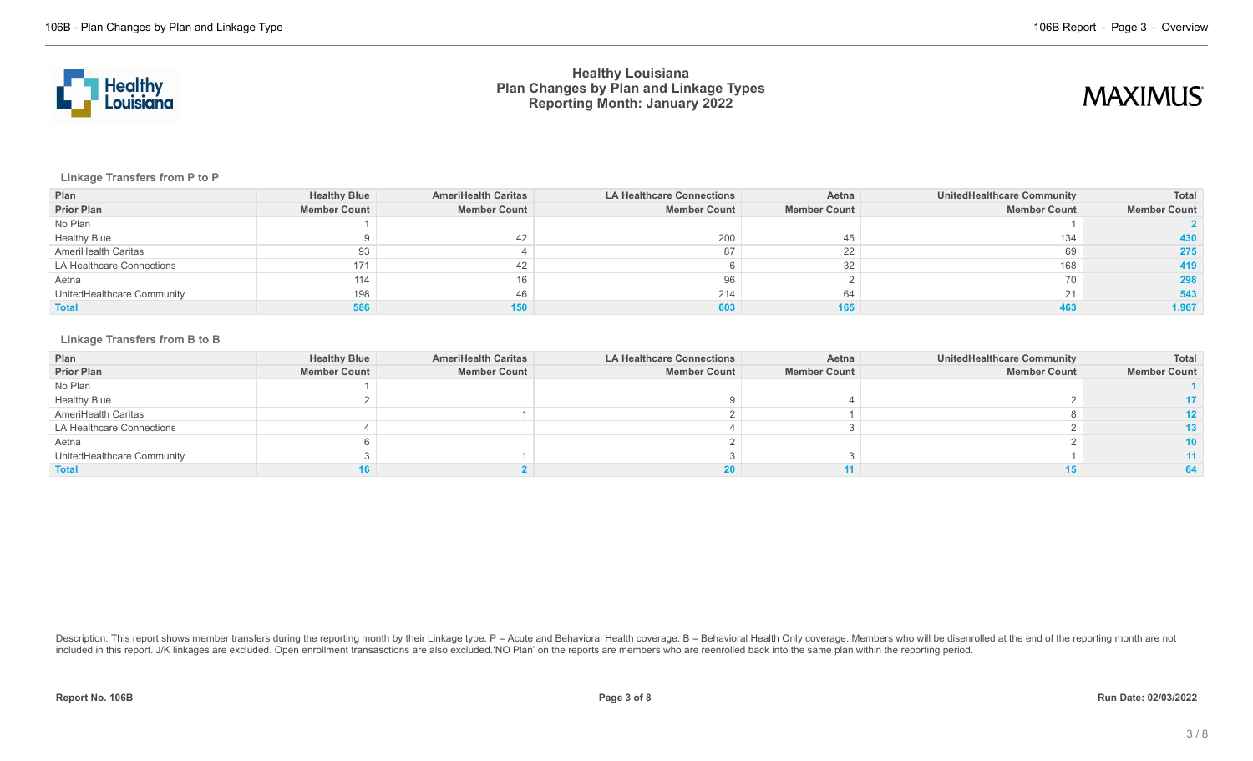

# **MAXIMUS**

**Linkage Transfers from P to P**

| Plan                       | <b>Healthy Blue</b> | <b>AmeriHealth Caritas</b> | LA Healthcare Connections | Aetna               | UnitedHealthcare Community | Total               |
|----------------------------|---------------------|----------------------------|---------------------------|---------------------|----------------------------|---------------------|
| <b>Prior Plan</b>          | <b>Member Count</b> | <b>Member Count</b>        | <b>Member Count</b>       | <b>Member Count</b> | <b>Member Count</b>        | <b>Member Count</b> |
| No Plan                    |                     |                            |                           |                     |                            |                     |
| <b>Healthy Blue</b>        |                     |                            | 200                       | 45                  | 134                        | 430                 |
| AmeriHealth Caritas        | 93                  |                            |                           | 22                  | 69                         | 275                 |
| LA Healthcare Connections  | 171                 |                            |                           | 32                  | 168                        | 419                 |
| Aetna                      | 114                 |                            |                           |                     | 70                         | 298                 |
| UnitedHealthcare Community | 198                 | 46                         | 214                       | 64                  | 21                         | 543                 |
| <b>Total</b>               | 586                 | 150                        |                           |                     | 463                        | 1,967               |

#### **Linkage Transfers from B to B**

| Plan                       | <b>Healthy Blue</b> | <b>AmeriHealth Caritas</b> | <b>LA Healthcare Connections</b> | Aetna               | UnitedHealthcare Community | Total               |
|----------------------------|---------------------|----------------------------|----------------------------------|---------------------|----------------------------|---------------------|
| <b>Prior Plan</b>          | <b>Member Count</b> | <b>Member Count</b>        | <b>Member Count</b>              | <b>Member Count</b> | <b>Member Count</b>        | <b>Member Count</b> |
| No Plan                    |                     |                            |                                  |                     |                            |                     |
| <b>Healthy Blue</b>        |                     |                            |                                  |                     |                            |                     |
| AmeriHealth Caritas        |                     |                            |                                  |                     |                            | 12.                 |
| LA Healthcare Connections  |                     |                            |                                  |                     |                            |                     |
| Aetna                      |                     |                            |                                  |                     |                            |                     |
| UnitedHealthcare Community |                     |                            |                                  |                     |                            |                     |
| <b>Total</b>               |                     |                            |                                  |                     |                            |                     |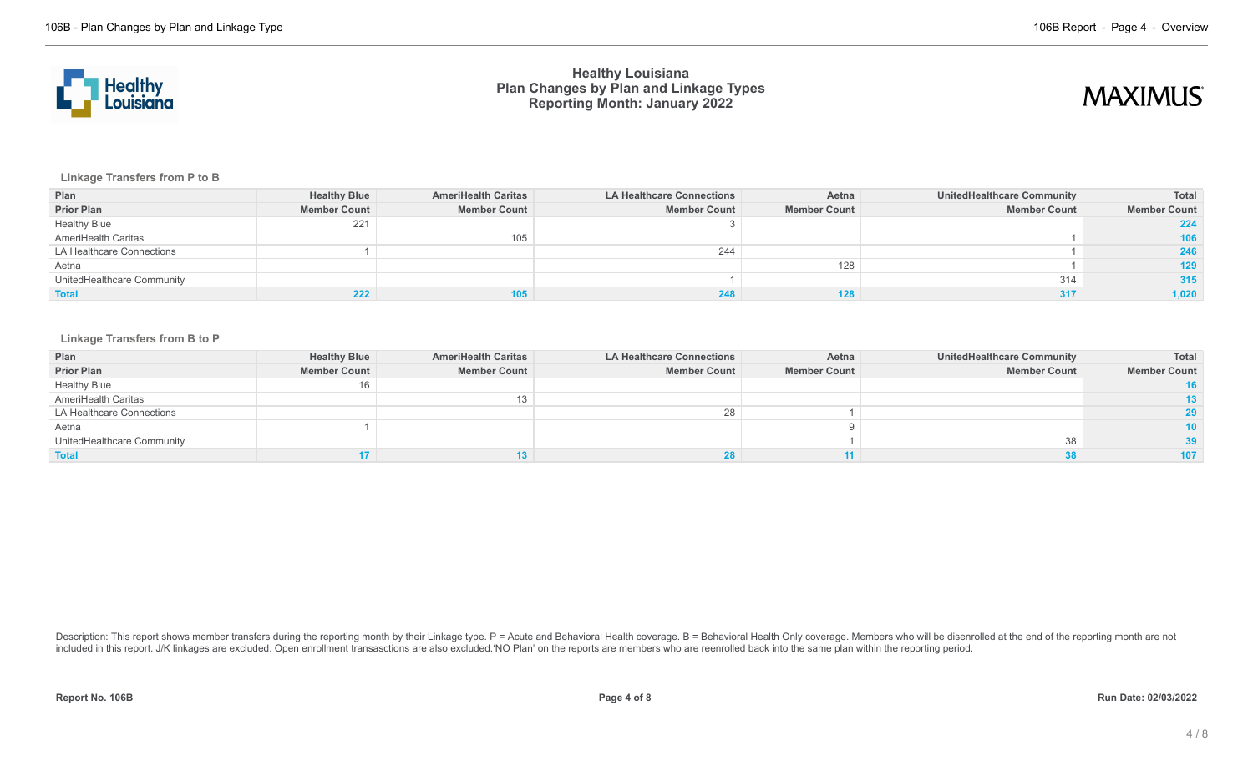



**Linkage Transfers from P to B**

| Plan                       | <b>Healthy Blue</b> | <b>AmeriHealth Caritas</b> | <b>LA Healthcare Connections</b> | Aetna               | <b>UnitedHealthcare Community</b> | Total               |
|----------------------------|---------------------|----------------------------|----------------------------------|---------------------|-----------------------------------|---------------------|
| <b>Prior Plan</b>          | <b>Member Count</b> | <b>Member Count</b>        | <b>Member Count</b>              | <b>Member Count</b> | <b>Member Count</b>               | <b>Member Count</b> |
| <b>Healthy Blue</b>        | 221                 |                            |                                  |                     |                                   | 224                 |
| AmeriHealth Caritas        |                     | 105                        |                                  |                     |                                   | 106                 |
| LA Healthcare Connections  |                     |                            | 244                              |                     |                                   | 246                 |
| Aetna                      |                     |                            |                                  | 128                 |                                   | 129                 |
| UnitedHealthcare Community |                     |                            |                                  |                     | 314                               | 315                 |
| <b>Total</b>               |                     | 105                        |                                  |                     | 317                               | 1,020               |

### **Linkage Transfers from B to P**

| Plan                       | <b>Healthy Blue</b> | <b>AmeriHealth Caritas</b> | LA Healthcare Connections | Aetna               | UnitedHealthcare Community | Total               |
|----------------------------|---------------------|----------------------------|---------------------------|---------------------|----------------------------|---------------------|
| <b>Prior Plan</b>          | <b>Member Count</b> | <b>Member Count</b>        | <b>Member Count</b>       | <b>Member Count</b> | <b>Member Count</b>        | <b>Member Count</b> |
| <b>Healthy Blue</b>        | 16                  |                            |                           |                     |                            | 16                  |
| AmeriHealth Caritas        |                     |                            |                           |                     |                            | 13.                 |
| LA Healthcare Connections  |                     |                            |                           |                     |                            |                     |
| Aetna                      |                     |                            |                           |                     |                            | 10                  |
| UnitedHealthcare Community |                     |                            |                           |                     | 38                         |                     |
| <b>Total</b>               |                     |                            |                           |                     |                            | 107                 |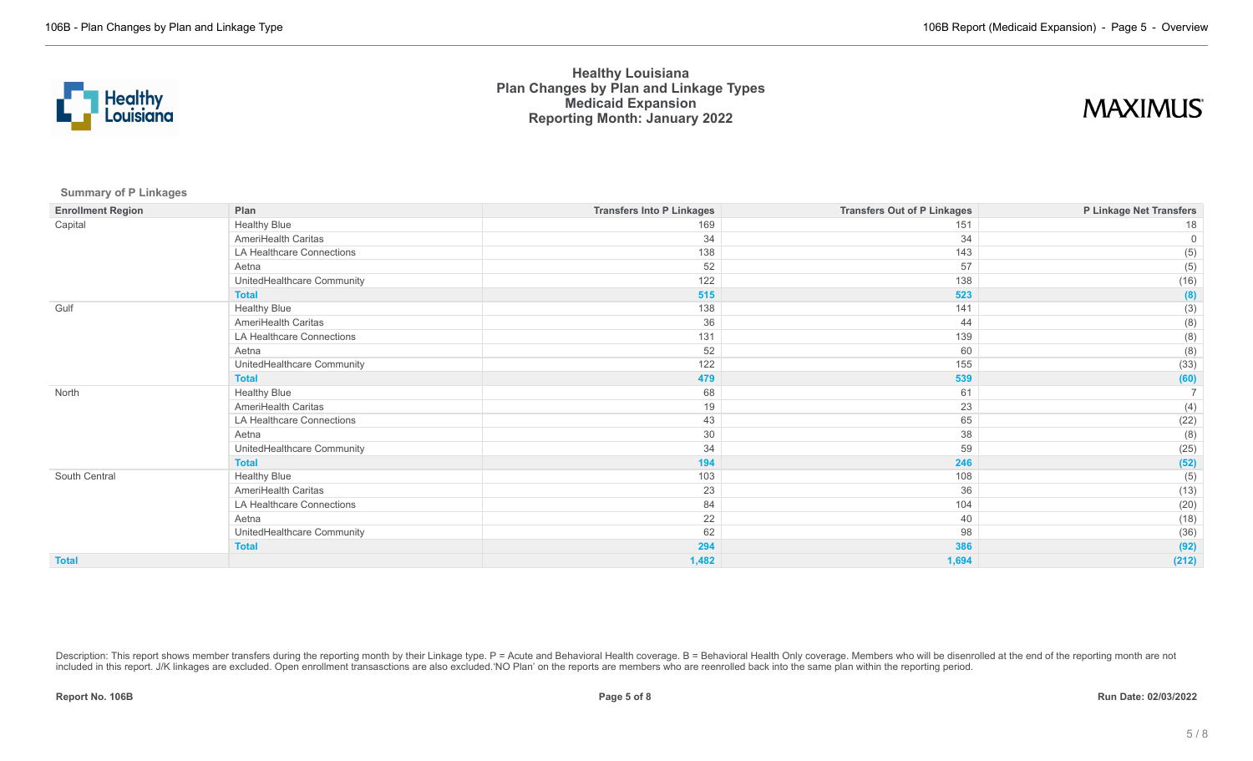

## **MAXIMUS**

**Summary of P Linkages**

| <b>Enrollment Region</b> | Plan                       | <b>Transfers Into P Linkages</b> | <b>Transfers Out of P Linkages</b> | P Linkage Net Transfers |
|--------------------------|----------------------------|----------------------------------|------------------------------------|-------------------------|
| Capital                  | <b>Healthy Blue</b>        | 169                              | 151                                | 18                      |
|                          | AmeriHealth Caritas        | 34                               | 34                                 | $\Omega$                |
|                          | LA Healthcare Connections  | 138                              | 143                                | (5)                     |
|                          | Aetna                      | 52                               | 57                                 | (5)                     |
|                          | UnitedHealthcare Community | 122                              | 138                                | (16)                    |
|                          | <b>Total</b>               | 515                              | 523                                | (8)                     |
| Gulf                     | <b>Healthy Blue</b>        | 138                              | 141                                | (3)                     |
|                          | AmeriHealth Caritas        | 36                               | 44                                 | (8)                     |
|                          | LA Healthcare Connections  | 131                              | 139                                | (8)                     |
|                          | Aetna                      | 52                               | 60                                 | (8)                     |
|                          | UnitedHealthcare Community | 122                              | 155                                | (33)                    |
|                          | <b>Total</b>               | 479                              | 539                                | (60)                    |
| North                    | <b>Healthy Blue</b>        | 68                               | 61                                 |                         |
|                          | AmeriHealth Caritas        | 19                               | 23                                 | (4)                     |
|                          | LA Healthcare Connections  | 43                               | 65                                 | (22)                    |
|                          | Aetna                      | 30                               | 38                                 | (8)                     |
|                          | UnitedHealthcare Community | 34                               | 59                                 | (25)                    |
|                          | <b>Total</b>               | 194                              | 246                                | (52)                    |
| South Central            | <b>Healthy Blue</b>        | 103                              | 108                                | (5)                     |
|                          | AmeriHealth Caritas        | 23                               | 36                                 | (13)                    |
|                          | LA Healthcare Connections  | 84                               | 104                                | (20)                    |
|                          | Aetna                      | 22                               | 40                                 | (18)                    |
|                          | UnitedHealthcare Community | 62                               | 98                                 | (36)                    |
|                          | <b>Total</b>               | 294                              | 386                                | (92)                    |
| <b>Total</b>             |                            | 1,482                            | 1,694                              | (212)                   |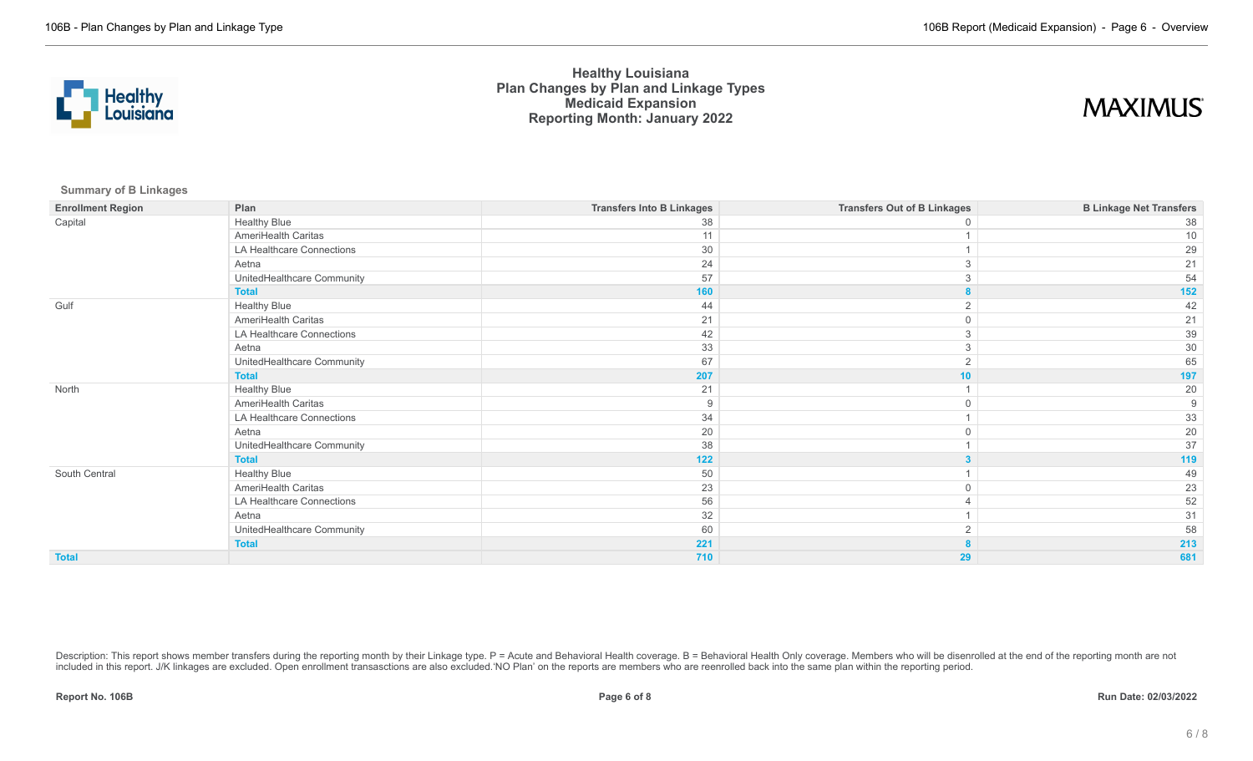

# **MAXIMUS**

**Summary of B Linkages**

| <b>Enrollment Region</b> | Plan                       | <b>Transfers Into B Linkages</b> | <b>Transfers Out of B Linkages</b> | <b>B Linkage Net Transfers</b> |
|--------------------------|----------------------------|----------------------------------|------------------------------------|--------------------------------|
| Capital                  | <b>Healthy Blue</b>        | 38                               |                                    | 38                             |
|                          | AmeriHealth Caritas        | 11                               |                                    | 10                             |
|                          | LA Healthcare Connections  | 30                               |                                    | 29                             |
|                          | Aetna                      | 24                               |                                    | 21                             |
|                          | UnitedHealthcare Community | 57                               |                                    | 54                             |
|                          | <b>Total</b>               | 160                              |                                    | 152                            |
| Gulf                     | <b>Healthy Blue</b>        | 44                               |                                    | 42                             |
|                          | AmeriHealth Caritas        | 21                               |                                    | 21                             |
|                          | LA Healthcare Connections  | 42                               |                                    | 39                             |
|                          | Aetna                      | 33                               | 3                                  | 30                             |
|                          | UnitedHealthcare Community | 67                               | $\overline{2}$                     | 65                             |
|                          | <b>Total</b>               | 207                              | 10                                 | 197                            |
| North                    | <b>Healthy Blue</b>        | 21                               |                                    | 20                             |
|                          | AmeriHealth Caritas        | 9                                |                                    | 9                              |
|                          | LA Healthcare Connections  | 34                               |                                    | 33                             |
|                          | Aetna                      | 20                               |                                    | $20\,$                         |
|                          | UnitedHealthcare Community | 38                               |                                    | 37                             |
|                          | <b>Total</b>               | 122                              |                                    | 119                            |
| South Central            | <b>Healthy Blue</b>        | 50                               |                                    | 49                             |
|                          | AmeriHealth Caritas        | 23                               |                                    | 23                             |
|                          | LA Healthcare Connections  | 56                               |                                    | 52                             |
|                          | Aetna                      | 32                               |                                    | 31                             |
|                          | UnitedHealthcare Community | 60                               |                                    | 58                             |
|                          | <b>Total</b>               | 221                              |                                    | 213                            |
| <b>Total</b>             |                            | 710                              | 29                                 | 681                            |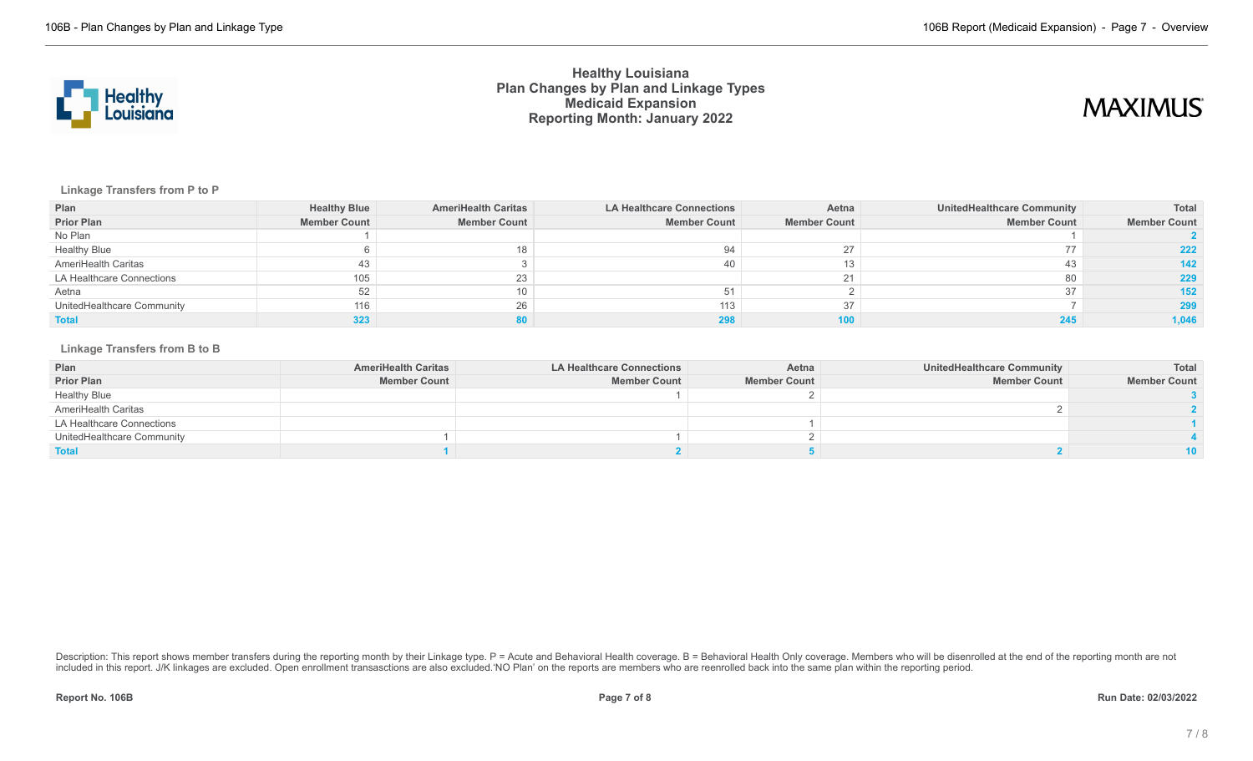

# **MAXIMUS**

### **Linkage Transfers from P to P**

| Plan                       | <b>Healthy Blue</b> | <b>AmeriHealth Caritas</b> | <b>LA Healthcare Connections</b> | Aetna               | <b>UnitedHealthcare Community</b> | Total               |
|----------------------------|---------------------|----------------------------|----------------------------------|---------------------|-----------------------------------|---------------------|
| <b>Prior Plan</b>          | <b>Member Count</b> | <b>Member Count</b>        | <b>Member Count</b>              | <b>Member Count</b> | <b>Member Count</b>               | <b>Member Count</b> |
| No Plan                    |                     |                            |                                  |                     |                                   |                     |
| <b>Healthy Blue</b>        |                     |                            |                                  | 27                  |                                   | 222                 |
| AmeriHealth Caritas        | 43                  |                            |                                  |                     | 43                                | 142                 |
| LA Healthcare Connections  | 105                 | 23                         |                                  |                     | 80                                | 229                 |
| Aetna                      | 52                  |                            |                                  |                     | 37                                | 152 <sub>2</sub>    |
| UnitedHealthcare Community | 116                 | 26                         | 113                              | 37                  |                                   | 299                 |
| <b>Total</b>               | 323                 |                            |                                  | 100                 |                                   | 1,046               |

### **Linkage Transfers from B to B**

| Plan                       | <b>AmeriHealth Caritas</b> | <b>LA Healthcare Connections</b> | Aetna               | <b>UnitedHealthcare Community</b> | Total               |
|----------------------------|----------------------------|----------------------------------|---------------------|-----------------------------------|---------------------|
| <b>Prior Plan</b>          | <b>Member Count</b>        | <b>Member Count</b>              | <b>Member Count</b> | <b>Member Count</b>               | <b>Member Count</b> |
| <b>Healthy Blue</b>        |                            |                                  |                     |                                   |                     |
| AmeriHealth Caritas        |                            |                                  |                     |                                   |                     |
| LA Healthcare Connections  |                            |                                  |                     |                                   |                     |
| UnitedHealthcare Community |                            |                                  |                     |                                   |                     |
| <b>Total</b>               |                            |                                  |                     |                                   | 10                  |